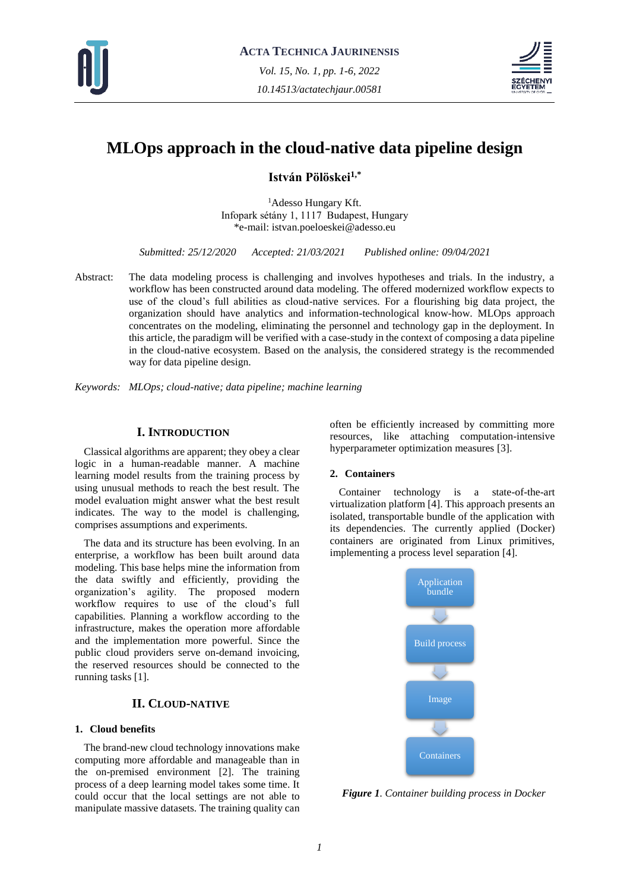



# **MLOps approach in the cloud-native data pipeline design**

**István Pölöskei1,\***

<sup>1</sup>Adesso Hungary Kft. Infopark sétány 1, 1117 Budapest, Hungary \*e-mail: istvan.poeloeskei@adesso.eu

*Submitted: 25/12/2020 Accepted: 21/03/2021 Published online: 09/04/2021*

Abstract: The data modeling process is challenging and involves hypotheses and trials. In the industry, a workflow has been constructed around data modeling. The offered modernized workflow expects to use of the cloud's full abilities as cloud-native services. For a flourishing big data project, the organization should have analytics and information-technological know-how. MLOps approach concentrates on the modeling, eliminating the personnel and technology gap in the deployment. In this article, the paradigm will be verified with a case-study in the context of composing a data pipeline in the cloud-native ecosystem. Based on the analysis, the considered strategy is the recommended way for data pipeline design.

*Keywords: MLOps; cloud-native; data pipeline; machine learning*

# **I. INTRODUCTION**

Classical algorithms are apparent; they obey a clear logic in a human-readable manner. A machine learning model results from the training process by using unusual methods to reach the best result. The model evaluation might answer what the best result indicates. The way to the model is challenging, comprises assumptions and experiments.

The data and its structure has been evolving. In an enterprise, a workflow has been built around data modeling. This base helps mine the information from the data swiftly and efficiently, providing the organization's agility. The proposed modern workflow requires to use of the cloud's full capabilities. Planning a workflow according to the infrastructure, makes the operation more affordable and the implementation more powerful. Since the public cloud providers serve on-demand invoicing, the reserved resources should be connected to the running tasks [1].

# **II. CLOUD-NATIVE**

## **1. Cloud benefits**

The brand-new cloud technology innovations make computing more affordable and manageable than in the on-premised environment [2]. The training process of a deep learning model takes some time. It could occur that the local settings are not able to manipulate massive datasets. The training quality can

often be efficiently increased by committing more resources, like attaching computation-intensive hyperparameter optimization measures [3].

# **2. Containers**

Container technology is a state-of-the-art virtualization platform [4]. This approach presents an isolated, transportable bundle of the application with its dependencies. The currently applied (Docker) containers are originated from Linux primitives, implementing a process level separation [4].



*Figure 1. Container building process in Docker*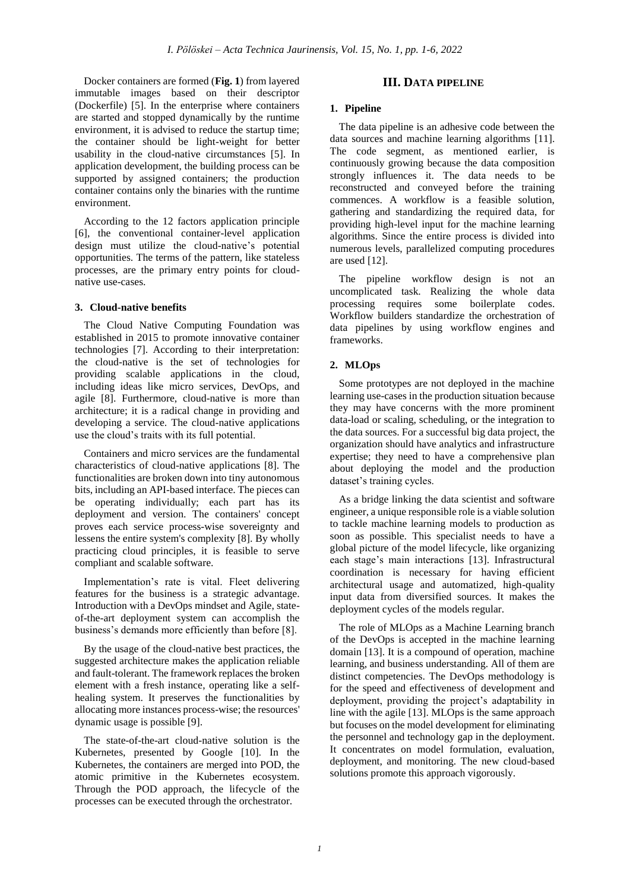Docker containers are formed (**Fig. 1**) from layered immutable images based on their descriptor (Dockerfile) [5]. In the enterprise where containers are started and stopped dynamically by the runtime environment, it is advised to reduce the startup time; the container should be light-weight for better usability in the cloud-native circumstances [5]. In application development, the building process can be supported by assigned containers; the production container contains only the binaries with the runtime environment.

According to the 12 factors application principle [6], the conventional container-level application design must utilize the cloud-native's potential opportunities. The terms of the pattern, like stateless processes, are the primary entry points for cloudnative use-cases.

#### **3. Cloud-native benefits**

The Cloud Native Computing Foundation was established in 2015 to promote innovative container technologies [7]. According to their interpretation: the cloud-native is the set of technologies for providing scalable applications in the cloud, including ideas like micro services, DevOps, and agile [8]. Furthermore, cloud-native is more than architecture; it is a radical change in providing and developing a service. The cloud-native applications use the cloud's traits with its full potential.

Containers and micro services are the fundamental characteristics of cloud-native applications [8]. The functionalities are broken down into tiny autonomous bits, including an API-based interface. The pieces can be operating individually; each part has its deployment and version. The containers' concept proves each service process-wise sovereignty and lessens the entire system's complexity [8]. By wholly practicing cloud principles, it is feasible to serve compliant and scalable software.

Implementation's rate is vital. Fleet delivering features for the business is a strategic advantage. Introduction with a DevOps mindset and Agile, stateof-the-art deployment system can accomplish the business's demands more efficiently than before [8].

By the usage of the cloud-native best practices, the suggested architecture makes the application reliable and fault-tolerant. The framework replaces the broken element with a fresh instance, operating like a selfhealing system. It preserves the functionalities by allocating more instances process-wise; the resources' dynamic usage is possible [9].

The state-of-the-art cloud-native solution is the Kubernetes, presented by Google [10]. In the Kubernetes, the containers are merged into POD, the atomic primitive in the Kubernetes ecosystem. Through the POD approach, the lifecycle of the processes can be executed through the orchestrator.

# **III. DATA PIPELINE**

#### **1. Pipeline**

The data pipeline is an adhesive code between the data sources and machine learning algorithms [11]. The code segment, as mentioned earlier, is continuously growing because the data composition strongly influences it. The data needs to be reconstructed and conveyed before the training commences. A workflow is a feasible solution, gathering and standardizing the required data, for providing high-level input for the machine learning algorithms. Since the entire process is divided into numerous levels, parallelized computing procedures are used [12].

The pipeline workflow design is not an uncomplicated task. Realizing the whole data processing requires some boilerplate codes. Workflow builders standardize the orchestration of data pipelines by using workflow engines and frameworks.

## **2. MLOps**

Some prototypes are not deployed in the machine learning use-cases in the production situation because they may have concerns with the more prominent data-load or scaling, scheduling, or the integration to the data sources. For a successful big data project, the organization should have analytics and infrastructure expertise; they need to have a comprehensive plan about deploying the model and the production dataset's training cycles.

As a bridge linking the data scientist and software engineer, a unique responsible role is a viable solution to tackle machine learning models to production as soon as possible. This specialist needs to have a global picture of the model lifecycle, like organizing each stage's main interactions [13]. Infrastructural coordination is necessary for having efficient architectural usage and automatized, high-quality input data from diversified sources. It makes the deployment cycles of the models regular.

The role of MLOps as a Machine Learning branch of the DevOps is accepted in the machine learning domain [13]. It is a compound of operation, machine learning, and business understanding. All of them are distinct competencies. The DevOps methodology is for the speed and effectiveness of development and deployment, providing the project's adaptability in line with the agile [13]. MLOps is the same approach but focuses on the model development for eliminating the personnel and technology gap in the deployment. It concentrates on model formulation, evaluation, deployment, and monitoring. The new cloud-based solutions promote this approach vigorously.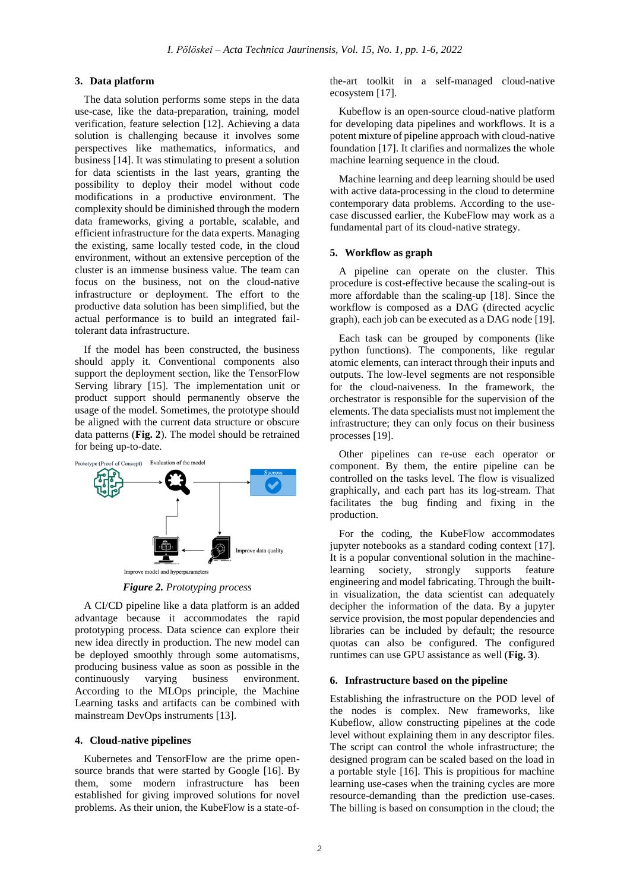## **3. Data platform**

The data solution performs some steps in the data use-case, like the data-preparation, training, model verification, feature selection [12]. Achieving a data solution is challenging because it involves some perspectives like mathematics, informatics, and business [14]. It was stimulating to present a solution for data scientists in the last years, granting the possibility to deploy their model without code modifications in a productive environment. The complexity should be diminished through the modern data frameworks, giving a portable, scalable, and efficient infrastructure for the data experts. Managing the existing, same locally tested code, in the cloud environment, without an extensive perception of the cluster is an immense business value. The team can focus on the business, not on the cloud-native infrastructure or deployment. The effort to the productive data solution has been simplified, but the actual performance is to build an integrated failtolerant data infrastructure.

If the model has been constructed, the business should apply it. Conventional components also support the deployment section, like the TensorFlow Serving library [15]. The implementation unit or product support should permanently observe the usage of the model. Sometimes, the prototype should be aligned with the current data structure or obscure data patterns (**Fig. 2**). The model should be retrained for being up-to-date.



*Figure 2. Prototyping process*

A CI/CD pipeline like a data platform is an added advantage because it accommodates the rapid prototyping process. Data science can explore their new idea directly in production. The new model can be deployed smoothly through some automatisms, producing business value as soon as possible in the continuously varying business environment. According to the MLOps principle, the Machine Learning tasks and artifacts can be combined with mainstream DevOps instruments [13].

#### **4. Cloud-native pipelines**

Kubernetes and TensorFlow are the prime opensource brands that were started by Google [16]. By them, some modern infrastructure has been established for giving improved solutions for novel problems. As their union, the KubeFlow is a state-ofthe-art toolkit in a self-managed cloud-native ecosystem [17].

Kubeflow is an open-source cloud-native platform for developing data pipelines and workflows. It is a potent mixture of pipeline approach with cloud-native foundation [17]. It clarifies and normalizes the whole machine learning sequence in the cloud.

Machine learning and deep learning should be used with active data-processing in the cloud to determine contemporary data problems. According to the usecase discussed earlier, the KubeFlow may work as a fundamental part of its cloud-native strategy.

#### **5. Workflow as graph**

A pipeline can operate on the cluster. This procedure is cost-effective because the scaling-out is more affordable than the scaling-up [18]. Since the workflow is composed as a DAG (directed acyclic graph), each job can be executed as a DAG node [19].

Each task can be grouped by components (like python functions). The components, like regular atomic elements, can interact through their inputs and outputs. The low-level segments are not responsible for the cloud-naiveness. In the framework, the orchestrator is responsible for the supervision of the elements. The data specialists must not implement the infrastructure; they can only focus on their business processes [19].

Other pipelines can re-use each operator or component. By them, the entire pipeline can be controlled on the tasks level. The flow is visualized graphically, and each part has its log-stream. That facilitates the bug finding and fixing in the production.

For the coding, the KubeFlow accommodates jupyter notebooks as a standard coding context [17]. It is a popular conventional solution in the machinelearning society, strongly supports feature engineering and model fabricating. Through the builtin visualization, the data scientist can adequately decipher the information of the data. By a jupyter service provision, the most popular dependencies and libraries can be included by default; the resource quotas can also be configured. The configured runtimes can use GPU assistance as well (**Fig. 3**).

#### **6. Infrastructure based on the pipeline**

Establishing the infrastructure on the POD level of the nodes is complex. New frameworks, like Kubeflow, allow constructing pipelines at the code level without explaining them in any descriptor files. The script can control the whole infrastructure; the designed program can be scaled based on the load in a portable style [16]. This is propitious for machine learning use-cases when the training cycles are more resource-demanding than the prediction use-cases. The billing is based on consumption in the cloud; the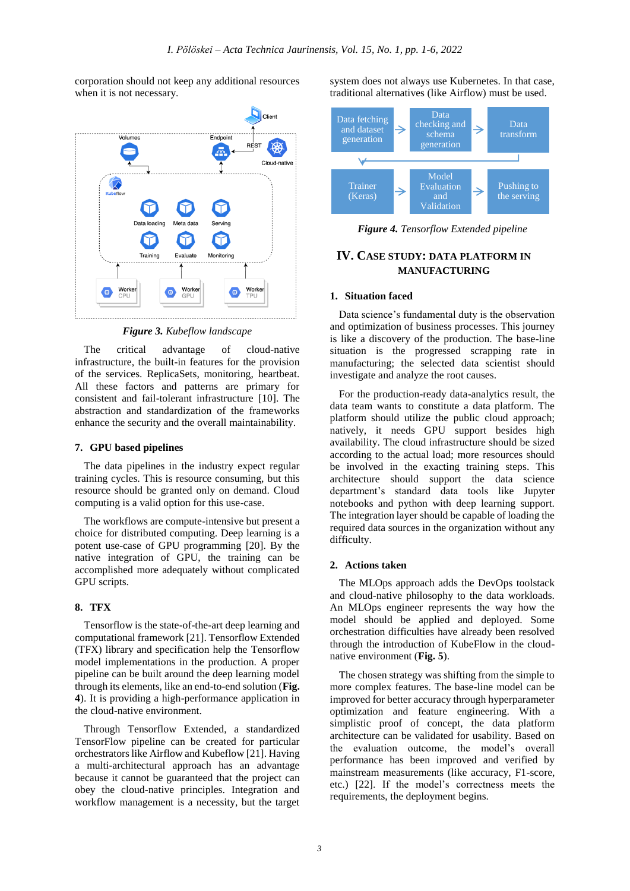corporation should not keep any additional resources when it is not necessary.



*Figure 3. Kubeflow landscape*

The critical advantage of cloud-native infrastructure, the built-in features for the provision of the services. ReplicaSets, monitoring, heartbeat. All these factors and patterns are primary for consistent and fail-tolerant infrastructure [10]. The abstraction and standardization of the frameworks enhance the security and the overall maintainability.

#### **7. GPU based pipelines**

The data pipelines in the industry expect regular training cycles. This is resource consuming, but this resource should be granted only on demand. Cloud computing is a valid option for this use-case.

The workflows are compute-intensive but present a choice for distributed computing. Deep learning is a potent use-case of GPU programming [20]. By the native integration of GPU, the training can be accomplished more adequately without complicated GPU scripts.

# **8. TFX**

Tensorflow is the state-of-the-art deep learning and computational framework [21]. Tensorflow Extended (TFX) library and specification help the Tensorflow model implementations in the production. A proper pipeline can be built around the deep learning model through its elements, like an end-to-end solution (**Fig. 4**). It is providing a high-performance application in the cloud-native environment.

Through Tensorflow Extended, a standardized TensorFlow pipeline can be created for particular orchestrators like Airflow and Kubeflow [21]. Having a multi-architectural approach has an advantage because it cannot be guaranteed that the project can obey the cloud-native principles. Integration and workflow management is a necessity, but the target

system does not always use Kubernetes. In that case, traditional alternatives (like Airflow) must be used.



*Figure 4. Tensorflow Extended pipeline*

# **IV. CASE STUDY: DATA PLATFORM IN MANUFACTURING**

## **1. Situation faced**

Data science's fundamental duty is the observation and optimization of business processes. This journey is like a discovery of the production. The base-line situation is the progressed scrapping rate in manufacturing; the selected data scientist should investigate and analyze the root causes.

For the production-ready data-analytics result, the data team wants to constitute a data platform. The platform should utilize the public cloud approach; natively, it needs GPU support besides high availability. The cloud infrastructure should be sized according to the actual load; more resources should be involved in the exacting training steps. This architecture should support the data science department's standard data tools like Jupyter notebooks and python with deep learning support. The integration layer should be capable of loading the required data sources in the organization without any difficulty.

#### **2. Actions taken**

The MLOps approach adds the DevOps toolstack and cloud-native philosophy to the data workloads. An MLOps engineer represents the way how the model should be applied and deployed. Some orchestration difficulties have already been resolved through the introduction of KubeFlow in the cloudnative environment (**Fig. 5**).

The chosen strategy was shifting from the simple to more complex features. The base-line model can be improved for better accuracy through hyperparameter optimization and feature engineering. With a simplistic proof of concept, the data platform architecture can be validated for usability. Based on the evaluation outcome, the model's overall performance has been improved and verified by mainstream measurements (like accuracy, F1-score, etc.) [22]. If the model's correctness meets the requirements, the deployment begins.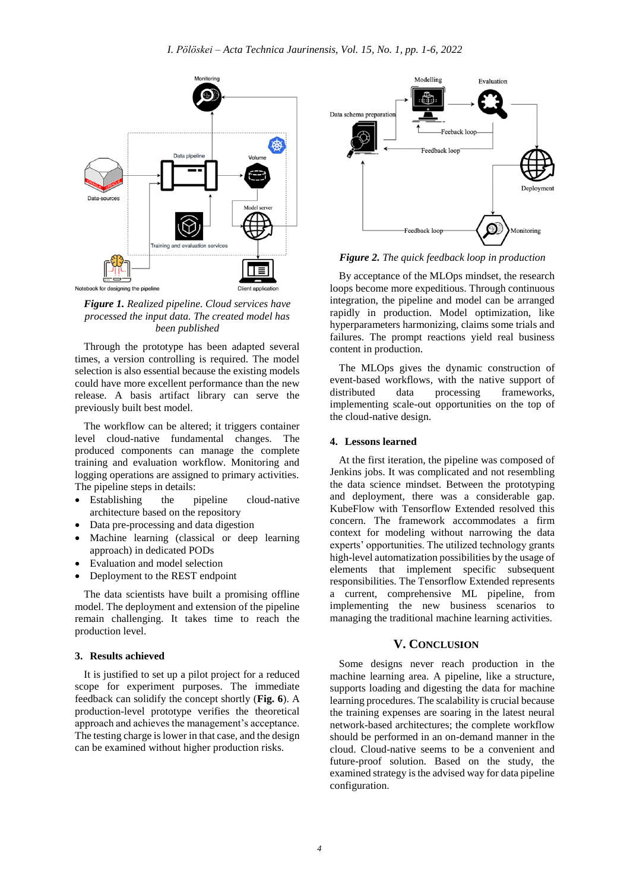

*Figure 1. Realized pipeline. Cloud services have processed the input data. The created model has been published*

Through the prototype has been adapted several times, a version controlling is required. The model selection is also essential because the existing models could have more excellent performance than the new release. A basis artifact library can serve the previously built best model.

The workflow can be altered; it triggers container level cloud-native fundamental changes. The produced components can manage the complete training and evaluation workflow. Monitoring and logging operations are assigned to primary activities. The pipeline steps in details:

- Establishing the pipeline cloud-native architecture based on the repository
- Data pre-processing and data digestion
- Machine learning (classical or deep learning approach) in dedicated PODs
- Evaluation and model selection
- Deployment to the REST endpoint

The data scientists have built a promising offline model. The deployment and extension of the pipeline remain challenging. It takes time to reach the production level.

### **3. Results achieved**

It is justified to set up a pilot project for a reduced scope for experiment purposes. The immediate feedback can solidify the concept shortly (**Fig. 6**). A production-level prototype verifies the theoretical approach and achieves the management's acceptance. The testing charge is lower in that case, and the design can be examined without higher production risks.



*Figure 2. The quick feedback loop in production*

By acceptance of the MLOps mindset, the research loops become more expeditious. Through continuous integration, the pipeline and model can be arranged rapidly in production. Model optimization, like hyperparameters harmonizing, claims some trials and failures. The prompt reactions yield real business content in production.

The MLOps gives the dynamic construction of event-based workflows, with the native support of distributed data processing frameworks, implementing scale-out opportunities on the top of the cloud-native design.

#### **4. Lessons learned**

At the first iteration, the pipeline was composed of Jenkins jobs. It was complicated and not resembling the data science mindset. Between the prototyping and deployment, there was a considerable gap. KubeFlow with Tensorflow Extended resolved this concern. The framework accommodates a firm context for modeling without narrowing the data experts' opportunities. The utilized technology grants high-level automatization possibilities by the usage of elements that implement specific subsequent responsibilities. The Tensorflow Extended represents a current, comprehensive ML pipeline, from implementing the new business scenarios to managing the traditional machine learning activities.

## **V. CONCLUSION**

Some designs never reach production in the machine learning area. A pipeline, like a structure, supports loading and digesting the data for machine learning procedures. The scalability is crucial because the training expenses are soaring in the latest neural network-based architectures; the complete workflow should be performed in an on-demand manner in the cloud. Cloud-native seems to be a convenient and future-proof solution. Based on the study, the examined strategy is the advised way for data pipeline configuration.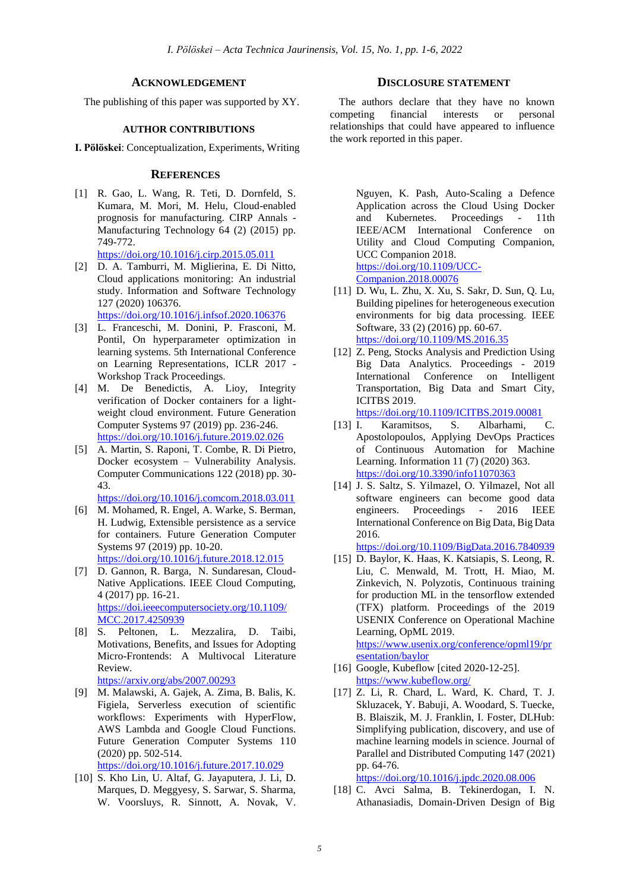#### **ACKNOWLEDGEMENT**

The publishing of this paper was supported by XY.

## **AUTHOR CONTRIBUTIONS**

**I. Pölöskei**: Conceptualization, Experiments, Writing

## **REFERENCES**

- [1] R. Gao, L. Wang, R. Teti, D. Dornfeld, S. Kumara, M. Mori, M. Helu, Cloud-enabled prognosis for manufacturing. CIRP Annals - Manufacturing Technology 64 (2) (2015) pp. 749-772. <https://doi.org/10.1016/j.cirp.2015.05.011>
- [2] D. A. Tamburri, M. Miglierina, E. Di Nitto, Cloud applications monitoring: An industrial study. Information and Software Technology 127 (2020) 106376.

<https://doi.org/10.1016/j.infsof.2020.106376>

- [3] L. Franceschi, M. Donini, P. Frasconi, M. Pontil, On hyperparameter optimization in learning systems. 5th International Conference on Learning Representations, ICLR 2017 - Workshop Track Proceedings.
- [4] M. De Benedictis, A. Lioy, Integrity verification of Docker containers for a lightweight cloud environment. Future Generation Computer Systems 97 (2019) pp. 236-246. <https://doi.org/10.1016/j.future.2019.02.026>
- [5] A. Martin, S. Raponi, T. Combe, R. Di Pietro, Docker ecosystem – Vulnerability Analysis. Computer Communications 122 (2018) pp. 30- 43.

<https://doi.org/10.1016/j.comcom.2018.03.011>

- [6] M. Mohamed, R. Engel, A. Warke, S. Berman, H. Ludwig, Extensible persistence as a service for containers. Future Generation Computer Systems 97 (2019) pp. 10-20. <https://doi.org/10.1016/j.future.2018.12.015>
- [7] D. Gannon, R. Barga, N. Sundaresan, Cloud-Native Applications. IEEE Cloud Computing, 4 (2017) pp. 16-21. [https://doi.ieeecomputersociety.org/10.1109/](https://doi.ieeecomputersociety.org/10.1109/MCC.2017.4250939) [MCC.2017.4250939](https://doi.ieeecomputersociety.org/10.1109/MCC.2017.4250939)
- [8] S. Peltonen, L. Mezzalira, D. Taibi, Motivations, Benefits, and Issues for Adopting Micro-Frontends: A Multivocal Literature Review.

<https://arxiv.org/abs/2007.00293>

[9] M. Malawski, A. Gajek, A. Zima, B. Balis, K. Figiela, Serverless execution of scientific workflows: Experiments with HyperFlow, AWS Lambda and Google Cloud Functions. Future Generation Computer Systems 110 (2020) pp. 502-514.

<https://doi.org/10.1016/j.future.2017.10.029>

[10] S. Kho Lin, U. Altaf, G. Jayaputera, J. Li, D. Marques, D. Meggyesy, S. Sarwar, S. Sharma, W. Voorsluys, R. Sinnott, A. Novak, V.

## **DISCLOSURE STATEMENT**

The authors declare that they have no known competing financial interests or personal relationships that could have appeared to influence the work reported in this paper.

Nguyen, K. Pash, Auto-Scaling a Defence Application across the Cloud Using Docker and Kubernetes. Proceedings - 11th IEEE/ACM International Conference on Utility and Cloud Computing Companion, UCC Companion 2018. [https://doi.org/10.1109/UCC-](https://doi.org/10.1109/UCC-Companion.2018.00076)[Companion.2018.00076](https://doi.org/10.1109/UCC-Companion.2018.00076)

- [11] D. Wu, L. Zhu, X. Xu, S. Sakr, D. Sun, Q. Lu, Building pipelines for heterogeneous execution environments for big data processing. IEEE Software, 33 (2) (2016) pp. 60-67. <https://doi.org/10.1109/MS.2016.35>
- [12] Z. Peng, Stocks Analysis and Prediction Using Big Data Analytics. Proceedings - 2019 International Conference on Intelligent Transportation, Big Data and Smart City, ICITBS 2019.

<https://doi.org/10.1109/ICITBS.2019.00081>

- [13] I. Karamitsos, S. Albarhami, C. Apostolopoulos, Applying DevOps Practices of Continuous Automation for Machine Learning. Information 11 (7) (2020) 363. <https://doi.org/10.3390/info11070363>
- [14] J. S. Saltz, S. Yilmazel, O. Yilmazel, Not all software engineers can become good data engineers. Proceedings - 2016 IEEE International Conference on Big Data, Big Data 2016.

<https://doi.org/10.1109/BigData.2016.7840939>

[15] D. Baylor, K. Haas, K. Katsiapis, S. Leong, R. Liu, C. Menwald, M. Trott, H. Miao, M. Zinkevich, N. Polyzotis, Continuous training for production ML in the tensorflow extended (TFX) platform. Proceedings of the 2019 USENIX Conference on Operational Machine Learning, OpML 2019. [https://www.usenix.org/conference/opml19/pr](https://www.usenix.org/conference/opml19/presentation/baylor)

[esentation/baylor](https://www.usenix.org/conference/opml19/presentation/baylor)

- [16] Google, Kubeflow [cited 2020-12-25]. <https://www.kubeflow.org/>
- [17] Z. Li, R. Chard, L. Ward, K. Chard, T. J. Skluzacek, Y. Babuji, A. Woodard, S. Tuecke, B. Blaiszik, M. J. Franklin, I. Foster, DLHub: Simplifying publication, discovery, and use of machine learning models in science. Journal of Parallel and Distributed Computing 147 (2021) pp. 64-76.

<https://doi.org/10.1016/j.jpdc.2020.08.006>

[18] C. Avci Salma, B. Tekinerdogan, I. N. Athanasiadis, Domain-Driven Design of Big